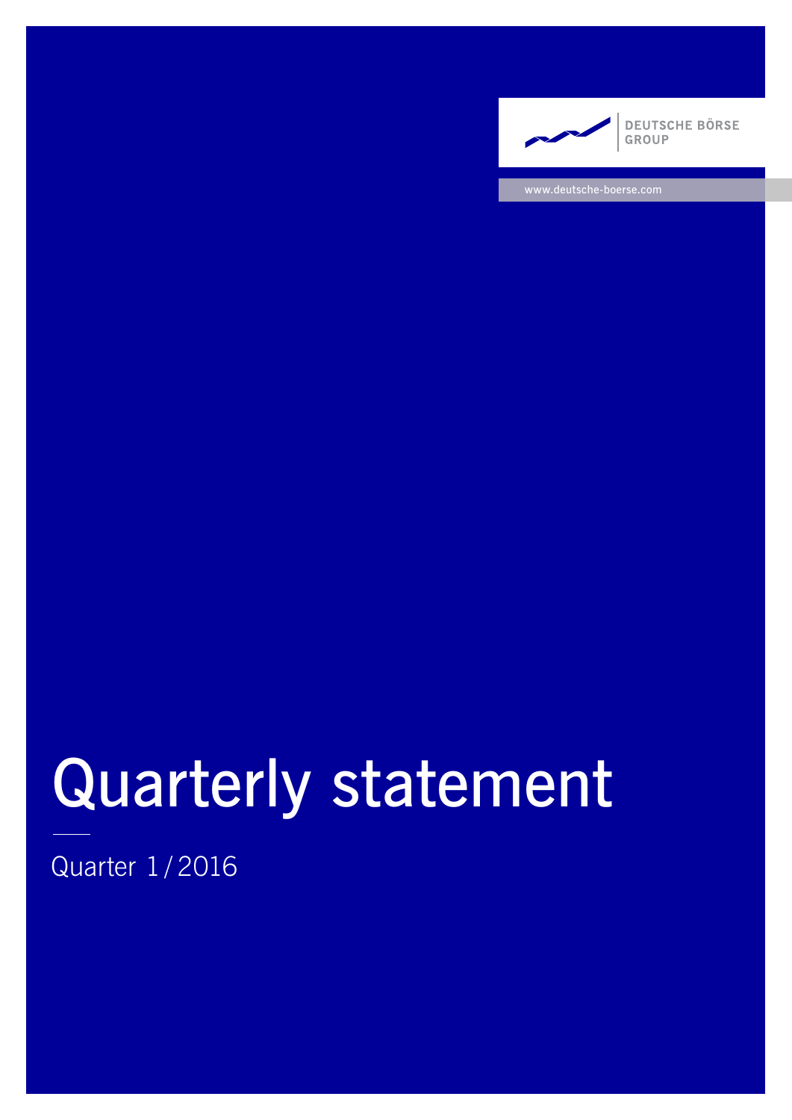

www.deutsche-boerse.com

# Quarterly statement

Quarter 1/ 2016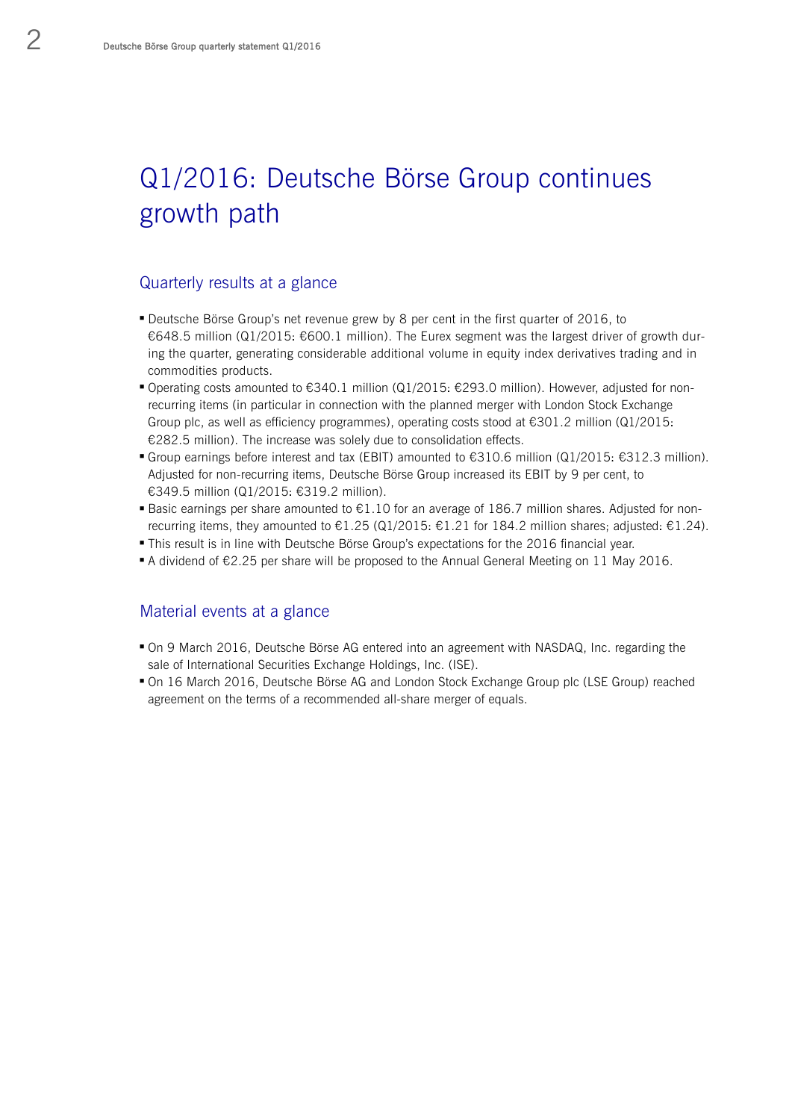# Q1/2016: Deutsche Börse Group continues growth path

## Quarterly results at a glance

- Deutsche Börse Group's net revenue grew by 8 per cent in the first quarter of 2016, to €648.5 million (Q1/2015: €600.1 million). The Eurex segment was the largest driver of growth during the quarter, generating considerable additional volume in equity index derivatives trading and in commodities products.
- Operating costs amounted to  $€340.1$  million (Q1/2015:  $€293.0$  million). However, adjusted for nonrecurring items (in particular in connection with the planned merger with London Stock Exchange Group plc, as well as efficiency programmes), operating costs stood at €301.2 million (Q1/2015: €282.5 million). The increase was solely due to consolidation effects.
- Group earnings before interest and tax (EBIT) amounted to €310.6 million (Q1/2015: €312.3 million). Adjusted for non-recurring items, Deutsche Börse Group increased its EBIT by 9 per cent, to €349.5 million (Q1/2015: €319.2 million).
- Basic earnings per share amounted to €1.10 for an average of 186.7 million shares. Adjusted for nonrecurring items, they amounted to  $\epsilon$ 1.25 (Q1/2015:  $\epsilon$ 1.21 for 184.2 million shares; adjusted:  $\epsilon$ 1.24).
- This result is in line with Deutsche Börse Group's expectations for the 2016 financial year.
- A dividend of €2.25 per share will be proposed to the Annual General Meeting on 11 May 2016.

### Material events at a glance

- On 9 March 2016, Deutsche Börse AG entered into an agreement with NASDAQ, Inc. regarding the sale of International Securities Exchange Holdings, Inc. (ISE).
- On 16 March 2016, Deutsche Börse AG and London Stock Exchange Group plc (LSE Group) reached agreement on the terms of a recommended all-share merger of equals.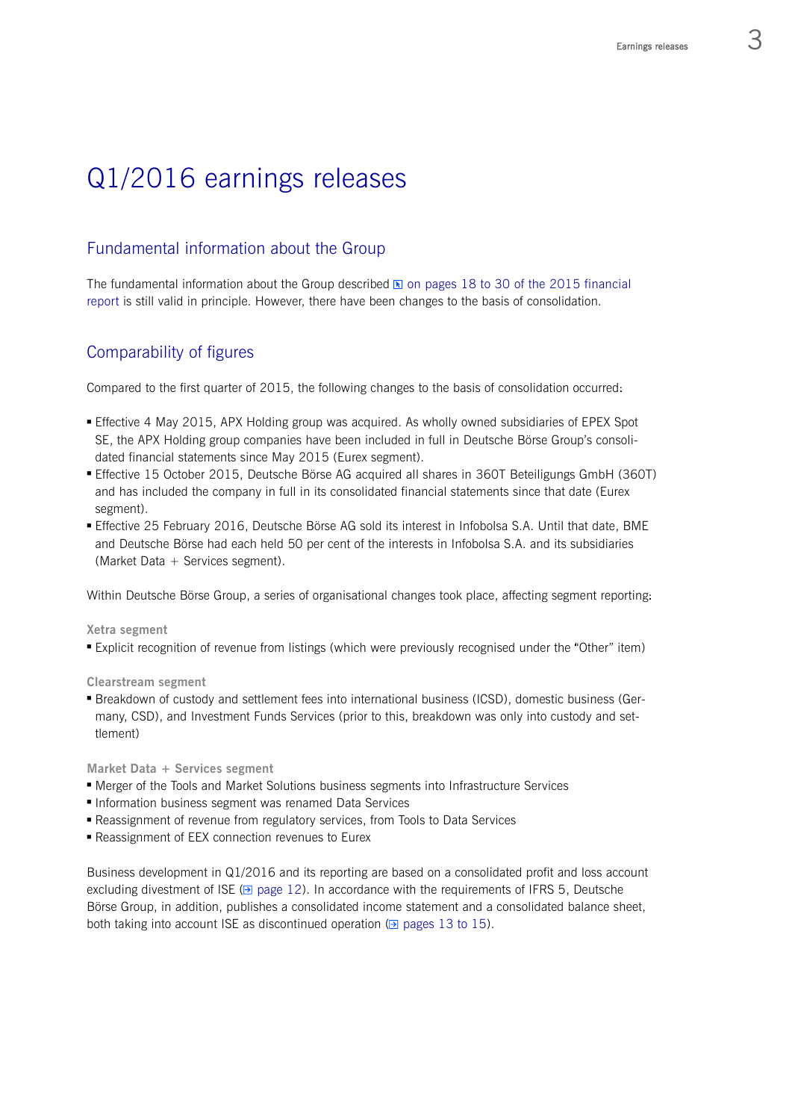# Q1/2016 earnings releases

# Fundamental information about the Group

The fundamental information about the Group described  $\boxtimes$  on pages 18 to 30 of the 2015 financial report is still valid in principle. However, there have been changes to the basis of consolidation.

# Comparability of figures

Compared to the first quarter of 2015, the following changes to the basis of consolidation occurred:

- Effective 4 May 2015, APX Holding group was acquired. As wholly owned subsidiaries of EPEX Spot SE, the APX Holding group companies have been included in full in Deutsche Börse Group's consolidated financial statements since May 2015 (Eurex segment).
- Effective 15 October 2015, Deutsche Börse AG acquired all shares in 360T Beteiligungs GmbH (360T) and has included the company in full in its consolidated financial statements since that date (Eurex segment).
- Effective 25 February 2016, Deutsche Börse AG sold its interest in Infobolsa S.A. Until that date, BME and Deutsche Börse had each held 50 per cent of the interests in Infobolsa S.A. and its subsidiaries (Market Data + Services segment).

Within Deutsche Börse Group, a series of organisational changes took place, affecting segment reporting:

**Xetra segment**

Explicit recognition of revenue from listings (which were previously recognised under the "Other" item)

**Clearstream segment**

 Breakdown of custody and settlement fees into international business (ICSD), domestic business (Germany, CSD), and Investment Funds Services (prior to this, breakdown was only into custody and settlement)

**Market Data + Services segment**

- Merger of the Tools and Market Solutions business segments into Infrastructure Services
- **Information business segment was renamed Data Services**
- Reassignment of revenue from regulatory services, from Tools to Data Services
- Reassignment of EEX connection revenues to Eurex

Business development in Q1/2016 and its reporting are based on a consolidated profit and loss account excluding divestment of ISE ( $\boxdot$  page 12). In accordance with the requirements of IFRS 5, Deutsche Börse Group, in addition, publishes a consolidated income statement and a consolidated balance sheet, both taking into account ISE as discontinued operation ( $\triangle$  pages 13 to 15).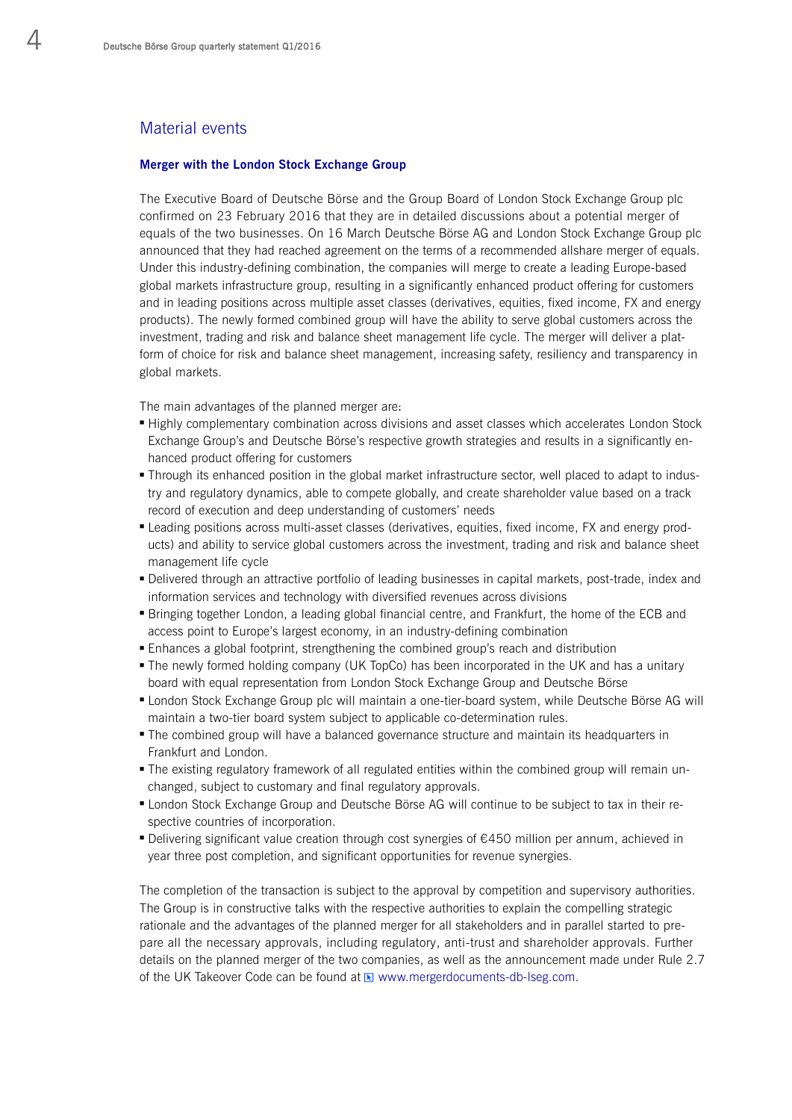# Material events

#### **Merger with the London Stock Exchange Group**

The Executive Board of Deutsche Börse and the Group Board of London Stock Exchange Group plc confirmed on 23 February 2016 that they are in detailed discussions about a potential merger of equals of the two businesses. On 16 March Deutsche Börse AG and London Stock Exchange Group plc announced that they had reached agreement on the terms of a recommended allshare merger of equals. Under this industry-defining combination, the companies will merge to create a leading Europe-based global markets infrastructure group, resulting in a significantly enhanced product offering for customers and in leading positions across multiple asset classes (derivatives, equities, fixed income, FX and energy products). The newly formed combined group will have the ability to serve global customers across the investment, trading and risk and balance sheet management life cycle. The merger will deliver a platform of choice for risk and balance sheet management, increasing safety, resiliency and transparency in global markets.

The main advantages of the planned merger are:

- Highly complementary combination across divisions and asset classes which accelerates London Stock Exchange Group's and Deutsche Börse's respective growth strategies and results in a significantly enhanced product offering for customers
- Through its enhanced position in the global market infrastructure sector, well placed to adapt to industry and regulatory dynamics, able to compete globally, and create shareholder value based on a track record of execution and deep understanding of customers' needs
- Leading positions across multi-asset classes (derivatives, equities, fixed income, FX and energy products) and ability to service global customers across the investment, trading and risk and balance sheet management life cycle
- Delivered through an attractive portfolio of leading businesses in capital markets, post-trade, index and information services and technology with diversified revenues across divisions
- Bringing together London, a leading global financial centre, and Frankfurt, the home of the ECB and access point to Europe's largest economy, in an industry-defining combination
- Enhances a global footprint, strengthening the combined group's reach and distribution
- The newly formed holding company (UK TopCo) has been incorporated in the UK and has a unitary board with equal representation from London Stock Exchange Group and Deutsche Börse
- London Stock Exchange Group plc will maintain a one-tier-board system, while Deutsche Börse AG will maintain a two-tier board system subject to applicable co-determination rules.
- The combined group will have a balanced governance structure and maintain its headquarters in Frankfurt and London.
- The existing regulatory framework of all regulated entities within the combined group will remain unchanged, subject to customary and final regulatory approvals.
- London Stock Exchange Group and Deutsche Börse AG will continue to be subject to tax in their respective countries of incorporation.
- Delivering significant value creation through cost synergies of €450 million per annum, achieved in year three post completion, and significant opportunities for revenue synergies.

The completion of the transaction is subject to the approval by competition and supervisory authorities. The Group is in constructive talks with the respective authorities to explain the compelling strategic rationale and the advantages of the planned merger for all stakeholders and in parallel started to prepare all the necessary approvals, including regulatory, anti-trust and shareholder approvals. Further details on the planned merger of the two companies, as well as the announcement made under Rule 2.7 of the UK Takeover Code can be found at  $\blacksquare$  www.mergerdocuments-db-lseg.com.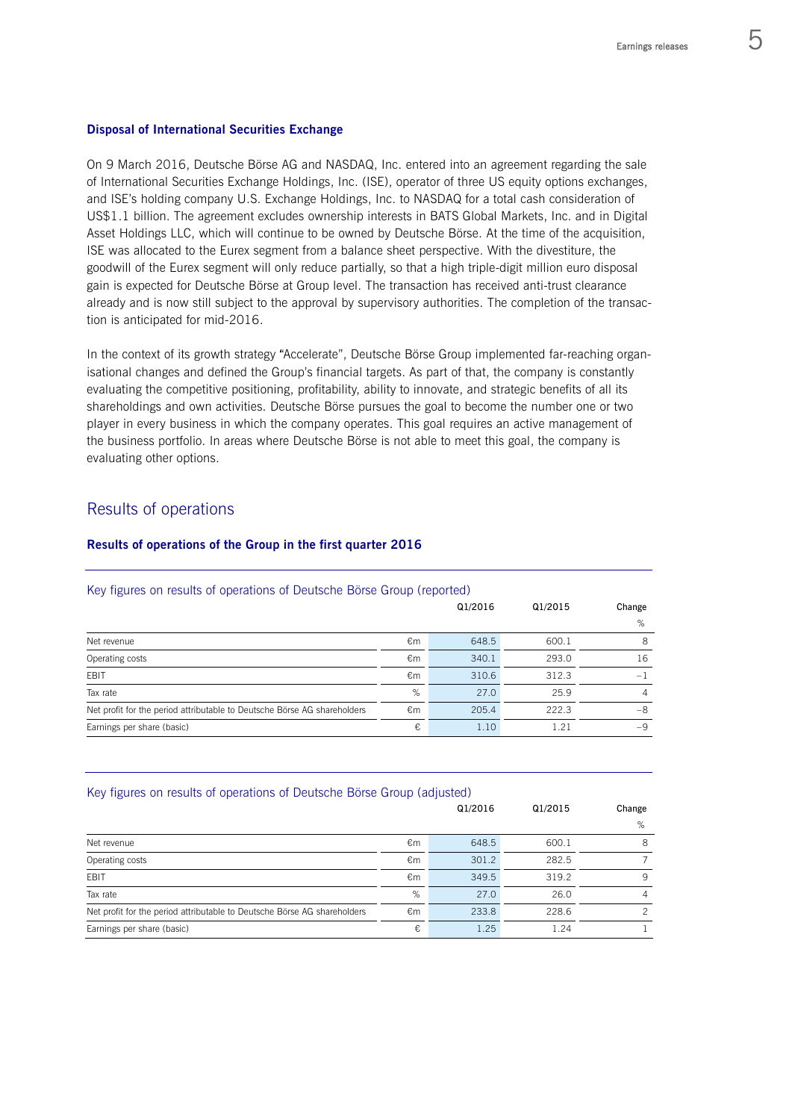#### **Disposal of International Securities Exchange**

On 9 March 2016, Deutsche Börse AG and NASDAQ, Inc. entered into an agreement regarding the sale of International Securities Exchange Holdings, Inc. (ISE), operator of three US equity options exchanges, and ISE's holding company U.S. Exchange Holdings, Inc. to NASDAQ for a total cash consideration of US\$1.1 billion. The agreement excludes ownership interests in BATS Global Markets, Inc. and in Digital Asset Holdings LLC, which will continue to be owned by Deutsche Börse. At the time of the acquisition, ISE was allocated to the Eurex segment from a balance sheet perspective. With the divestiture, the goodwill of the Eurex segment will only reduce partially, so that a high triple-digit million euro disposal gain is expected for Deutsche Börse at Group level. The transaction has received anti-trust clearance already and is now still subject to the approval by supervisory authorities. The completion of the transaction is anticipated for mid-2016.

In the context of its growth strategy "Accelerate", Deutsche Börse Group implemented far-reaching organisational changes and defined the Group's financial targets. As part of that, the company is constantly evaluating the competitive positioning, profitability, ability to innovate, and strategic benefits of all its shareholdings and own activities. Deutsche Börse pursues the goal to become the number one or two player in every business in which the company operates. This goal requires an active management of the business portfolio. In areas where Deutsche Börse is not able to meet this goal, the company is evaluating other options.

# Results of operations

#### **Results of operations of the Group in the first quarter 2016**

| ricy rigures on results or operations or Deutsche Dorse Group (reported) |    |         |         |                |
|--------------------------------------------------------------------------|----|---------|---------|----------------|
|                                                                          |    | Q1/2016 | Q1/2015 | Change         |
|                                                                          |    |         |         | %              |
| Net revenue                                                              | €m | 648.5   | 600.1   | 8              |
| Operating costs                                                          | €m | 340.1   | 293.0   | 16             |
| <b>FBIT</b>                                                              | €m | 310.6   | 312.3   | $-1$           |
| Tax rate                                                                 | %  | 27.0    | 25.9    | $\overline{A}$ |
| Net profit for the period attributable to Deutsche Börse AG shareholders | €m | 205.4   | 222.3   | -8             |
| Earnings per share (basic)                                               | €  | 1.10    | 1.21    | $-9$           |

#### Key figures on results of operations of Deutsche Börse Group (reported)

| Key figures on results of operations of Deutsche Börse Group (adjusted)  |    |         |       |        |
|--------------------------------------------------------------------------|----|---------|-------|--------|
|                                                                          |    | Q1/2016 |       | Change |
|                                                                          |    |         |       | %      |
| Net revenue                                                              | €m | 648.5   | 600.1 | 8      |
| Operating costs                                                          | €m | 301.2   | 282.5 |        |
| <b>FBIT</b>                                                              | €m | 349.5   | 319.2 | 9      |
| Tax rate                                                                 | %  | 27.0    | 26.0  | 4      |
| Net profit for the period attributable to Deutsche Börse AG shareholders | €m | 233.8   | 228.6 | っ      |
| Earnings per share (basic)                                               | €  | 1.25    | 1.24  |        |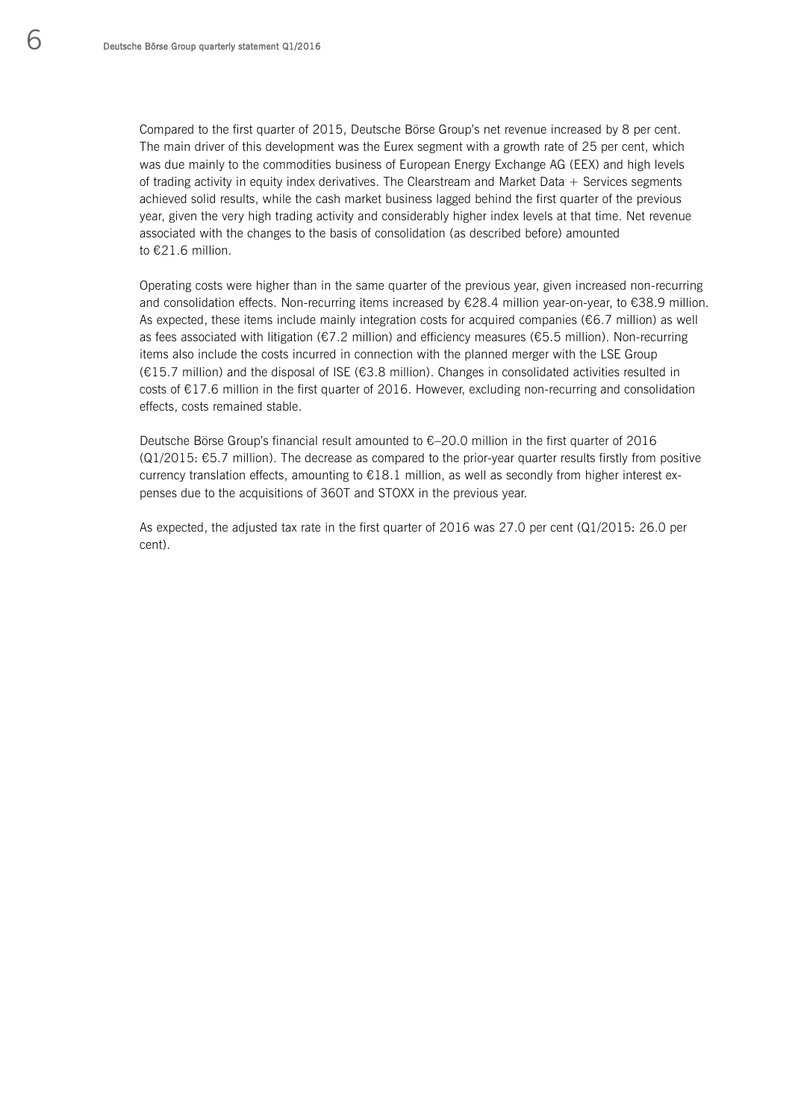Compared to the first quarter of 2015, Deutsche Börse Group's net revenue increased by 8 per cent. The main driver of this development was the Eurex segment with a growth rate of 25 per cent, which was due mainly to the commodities business of European Energy Exchange AG (EEX) and high levels of trading activity in equity index derivatives. The Clearstream and Market Data + Services segments achieved solid results, while the cash market business lagged behind the first quarter of the previous year, given the very high trading activity and considerably higher index levels at that time. Net revenue associated with the changes to the basis of consolidation (as described before) amounted to €21.6 million.

Operating costs were higher than in the same quarter of the previous year, given increased non-recurring and consolidation effects. Non-recurring items increased by €28.4 million year-on-year, to €38.9 million. As expected, these items include mainly integration costs for acquired companies ( $€6.7$  million) as well as fees associated with litigation (€7.2 million) and efficiency measures (€5.5 million). Non-recurring items also include the costs incurred in connection with the planned merger with the LSE Group (€15.7 million) and the disposal of ISE (€3.8 million). Changes in consolidated activities resulted in costs of €17.6 million in the first quarter of 2016. However, excluding non-recurring and consolidation effects, costs remained stable.

Deutsche Börse Group's financial result amounted to  $\epsilon$  –20.0 million in the first quarter of 2016  $(Q1/2015: \text{ } \text{\ensuremath{\in}} 5.7 \text{ million})$ . The decrease as compared to the prior-year quarter results firstly from positive currency translation effects, amounting to €18.1 million, as well as secondly from higher interest expenses due to the acquisitions of 360T and STOXX in the previous year.

As expected, the adjusted tax rate in the first quarter of 2016 was 27.0 per cent (Q1/2015: 26.0 per cent).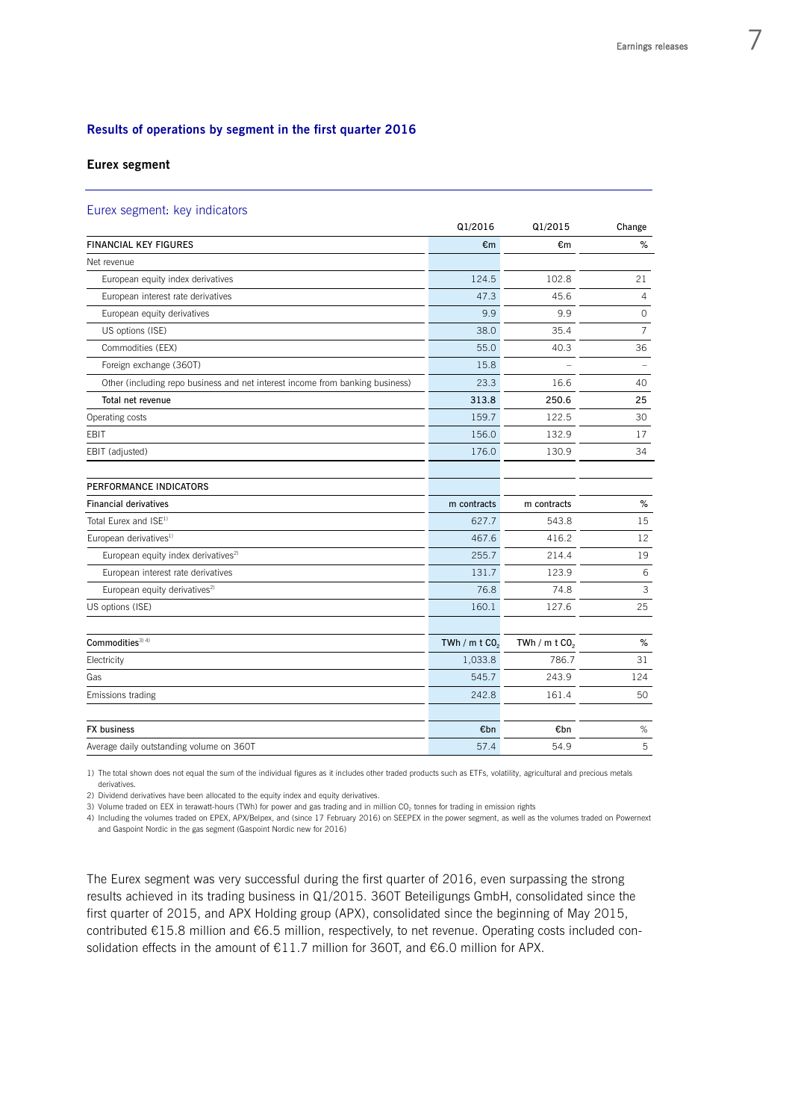#### **Results of operations by segment in the first quarter 2016**

#### **Eurex segment**

#### Eurex segment: key indicators

|                                                                               | Q1/2016                     | Q1/2015                     | Change         |
|-------------------------------------------------------------------------------|-----------------------------|-----------------------------|----------------|
| <b>FINANCIAL KEY FIGURES</b>                                                  | €m                          | €m                          | $\%$           |
| Net revenue                                                                   |                             |                             |                |
| European equity index derivatives                                             | 124.5                       | 102.8                       | 21             |
| European interest rate derivatives                                            | 47.3                        | 45.6                        | $\overline{4}$ |
| European equity derivatives                                                   | 9.9                         | 9.9                         | 0              |
| US options (ISE)                                                              | 38.0                        | 35.4                        | $\overline{7}$ |
| Commodities (EEX)                                                             | 55.0                        | 40.3                        | 36             |
| Foreign exchange (360T)                                                       | 15.8                        |                             |                |
| Other (including repo business and net interest income from banking business) | 23.3                        | 16.6                        | 40             |
| Total net revenue                                                             | 313.8                       | 250.6                       | 25             |
| Operating costs                                                               | 159.7                       | 122.5                       | 30             |
| EBIT                                                                          | 156.0                       | 132.9                       | 17             |
| EBIT (adjusted)                                                               | 176.0                       | 130.9                       | 34             |
| PERFORMANCE INDICATORS                                                        |                             |                             |                |
| <b>Financial derivatives</b>                                                  | m contracts                 | m contracts                 | $\%$           |
| Total Eurex and ISE <sup>1)</sup>                                             | 627.7                       | 543.8                       | 15             |
| European derivatives <sup>1)</sup>                                            | 467.6                       | 416.2                       | 12             |
| European equity index derivatives <sup>2)</sup>                               | 255.7                       | 214.4                       | 19             |
| European interest rate derivatives                                            | 131.7                       | 123.9                       | 6              |
| European equity derivatives <sup>2)</sup>                                     | 76.8                        | 74.8                        | 3              |
| US options (ISE)                                                              | 160.1                       | 127.6                       | 25             |
| Commodities <sup>3) 4)</sup>                                                  | TWh / $m$ t CO <sub>2</sub> | TWh / $m$ t CO <sub>2</sub> | %              |
| Electricity                                                                   | 1,033.8                     | 786.7                       | 31             |
| Gas                                                                           | 545.7                       | 243.9                       | 124            |
| Emissions trading                                                             | 242.8                       | 161.4                       | 50             |
|                                                                               |                             |                             |                |
| <b>FX</b> business                                                            | €bn                         | €bn                         | $\%$           |
| Average daily outstanding volume on 360T                                      | 57.4                        | 54.9                        | 5              |

1) The total shown does not equal the sum of the individual figures as it includes other traded products such as ETFs, volatility, agricultural and precious metals derivatives.

2) Dividend derivatives have been allocated to the equity index and equity derivatives.

3) Volume traded on EEX in terawatt-hours (TWh) for power and gas trading and in million CO<sub>2</sub> tonnes for trading in emission rights

4) Including the volumes traded on EPEX, APX/Belpex, and (since 17 February 2016) on SEEPEX in the power segment, as well as the volumes traded on Powernext and Gaspoint Nordic in the gas segment (Gaspoint Nordic new for 2016)

The Eurex segment was very successful during the first quarter of 2016, even surpassing the strong results achieved in its trading business in Q1/2015. 360T Beteiligungs GmbH, consolidated since the first quarter of 2015, and APX Holding group (APX), consolidated since the beginning of May 2015, contributed €15.8 million and €6.5 million, respectively, to net revenue. Operating costs included consolidation effects in the amount of €11.7 million for 360T, and €6.0 million for APX.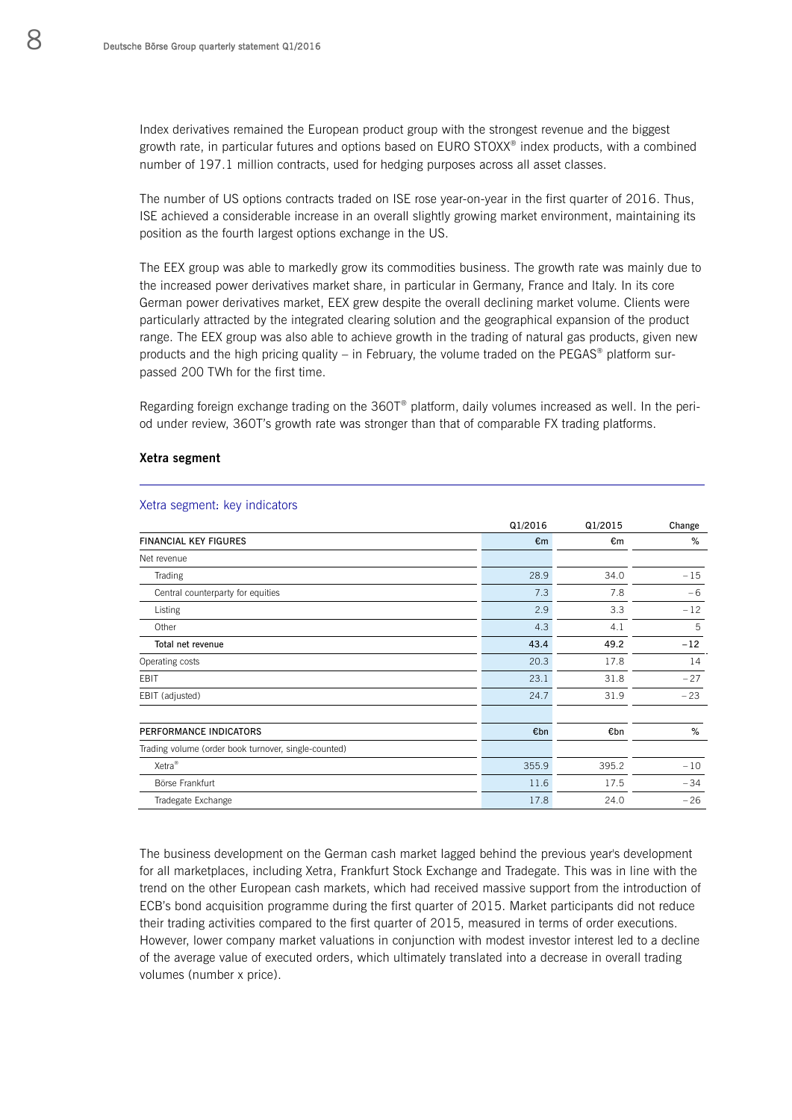Index derivatives remained the European product group with the strongest revenue and the biggest growth rate, in particular futures and options based on EURO STOXX® index products, with a combined number of 197.1 million contracts, used for hedging purposes across all asset classes.

The number of US options contracts traded on ISE rose year-on-year in the first quarter of 2016. Thus, ISE achieved a considerable increase in an overall slightly growing market environment, maintaining its position as the fourth largest options exchange in the US.

The EEX group was able to markedly grow its commodities business. The growth rate was mainly due to the increased power derivatives market share, in particular in Germany, France and Italy. In its core German power derivatives market, EEX grew despite the overall declining market volume. Clients were particularly attracted by the integrated clearing solution and the geographical expansion of the product range. The EEX group was also able to achieve growth in the trading of natural gas products, given new products and the high pricing quality – in February, the volume traded on the PEGAS<sup>®</sup> platform surpassed 200 TWh for the first time.

Regarding foreign exchange trading on the 360T® platform, daily volumes increased as well. In the period under review, 360T's growth rate was stronger than that of comparable FX trading platforms.

#### **Xetra segment**

|                                                      | Q1/2016      | Q1/2015 | Change |
|------------------------------------------------------|--------------|---------|--------|
| <b>FINANCIAL KEY FIGURES</b>                         | $\epsilon$ m | €m      | %      |
| Net revenue                                          |              |         |        |
| <b>Trading</b>                                       | 28.9         | 34.0    | $-15$  |
| Central counterparty for equities                    | 7.3          | 7.8     | $-6$   |
| Listing                                              | 2.9          | 3.3     | $-12$  |
| Other                                                | 4.3          | 4.1     | 5      |
| Total net revenue                                    | 43.4         | 49.2    | $-12$  |
| Operating costs                                      | 20.3         | 17.8    | 14     |
| EBIT                                                 | 23.1         | 31.8    | $-27$  |
| EBIT (adjusted)                                      | 24.7         | 31.9    | $-23$  |
| PERFORMANCE INDICATORS                               | €bn          | €bn     | %      |
| Trading volume (order book turnover, single-counted) |              |         |        |
| Xetra <sup>®</sup>                                   | 355.9        | 395.2   | $-10$  |
| Börse Frankfurt                                      | 11.6         | 17.5    | $-34$  |
| Tradegate Exchange                                   | 17.8         | 24.0    | $-26$  |

#### Xetra segment: key indicators

The business development on the German cash market lagged behind the previous year's development for all marketplaces, including Xetra, Frankfurt Stock Exchange and Tradegate. This was in line with the trend on the other European cash markets, which had received massive support from the introduction of ECB's bond acquisition programme during the first quarter of 2015. Market participants did not reduce their trading activities compared to the first quarter of 2015, measured in terms of order executions. However, lower company market valuations in conjunction with modest investor interest led to a decline of the average value of executed orders, which ultimately translated into a decrease in overall trading volumes (number x price).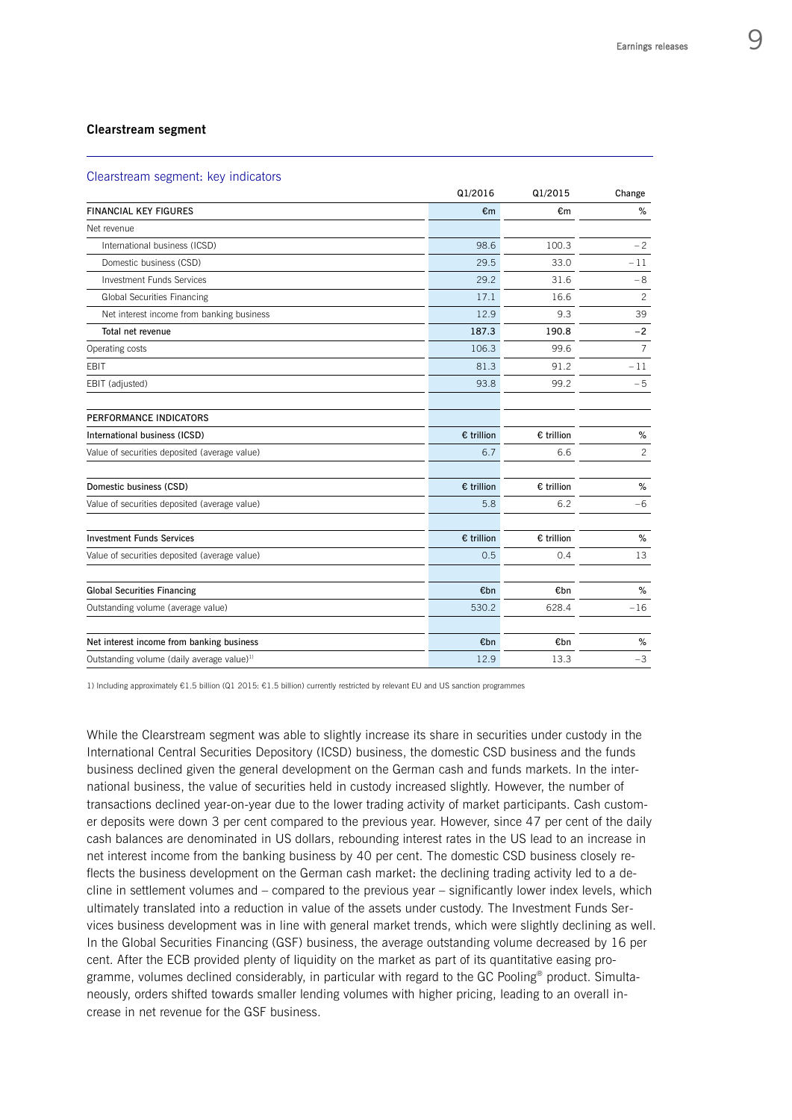#### **Clearstream segment**

#### Clearstream segment: key indicators

|                                                        | Q1/2016      | Q1/2015    | Change         |
|--------------------------------------------------------|--------------|------------|----------------|
| <b>FINANCIAL KEY FIGURES</b>                           | €m           | €m         | %              |
| Net revenue                                            |              |            |                |
| International business (ICSD)                          | 98.6         | 100.3      | $-2$           |
| Domestic business (CSD)                                | 29.5         | 33.0       | $-11$          |
| <b>Investment Funds Services</b>                       | 29.2         | 31.6       | $-8$           |
| <b>Global Securities Financing</b>                     | 17.1         | 16.6       | $\overline{c}$ |
| Net interest income from banking business              | 12.9         | 9.3        | 39             |
| Total net revenue                                      | 187.3        | 190.8      | $-2$           |
| Operating costs                                        | 106.3        | 99.6       | 7              |
| EBIT                                                   | 81.3         | 91.2       | $-11$          |
| EBIT (adjusted)                                        | 93.8         | 99.2       | $-5$           |
| PERFORMANCE INDICATORS                                 |              |            |                |
| International business (ICSD)                          | $E$ trillion | € trillion | %              |
| Value of securities deposited (average value)          | 6.7          | 6.6        | $\overline{c}$ |
| Domestic business (CSD)                                | $E$ trillion | € trillion | $\%$           |
| Value of securities deposited (average value)          | 5.8          | 6.2        | $-6$           |
| <b>Investment Funds Services</b>                       | $E$ trillion | € trillion | %              |
| Value of securities deposited (average value)          | 0.5          | 0.4        | 13             |
| <b>Global Securities Financing</b>                     | €bn          | €bn        | $\%$           |
| Outstanding volume (average value)                     | 530.2        | 628.4      | $-16$          |
| Net interest income from banking business              | €bn          | €bn        | %              |
| Outstanding volume (daily average value) <sup>1)</sup> | 12.9         | 13.3       | $-3$           |

1) Including approximately €1.5 billion (Q1 2015: €1.5 billion) currently restricted by relevant EU and US sanction programmes

While the Clearstream segment was able to slightly increase its share in securities under custody in the International Central Securities Depository (ICSD) business, the domestic CSD business and the funds business declined given the general development on the German cash and funds markets. In the international business, the value of securities held in custody increased slightly. However, the number of transactions declined year-on-year due to the lower trading activity of market participants. Cash customer deposits were down 3 per cent compared to the previous year. However, since 47 per cent of the daily cash balances are denominated in US dollars, rebounding interest rates in the US lead to an increase in net interest income from the banking business by 40 per cent. The domestic CSD business closely reflects the business development on the German cash market: the declining trading activity led to a decline in settlement volumes and – compared to the previous year – significantly lower index levels, which ultimately translated into a reduction in value of the assets under custody. The Investment Funds Services business development was in line with general market trends, which were slightly declining as well. In the Global Securities Financing (GSF) business, the average outstanding volume decreased by 16 per cent. After the ECB provided plenty of liquidity on the market as part of its quantitative easing programme, volumes declined considerably, in particular with regard to the GC Pooling® product. Simultaneously, orders shifted towards smaller lending volumes with higher pricing, leading to an overall increase in net revenue for the GSF business.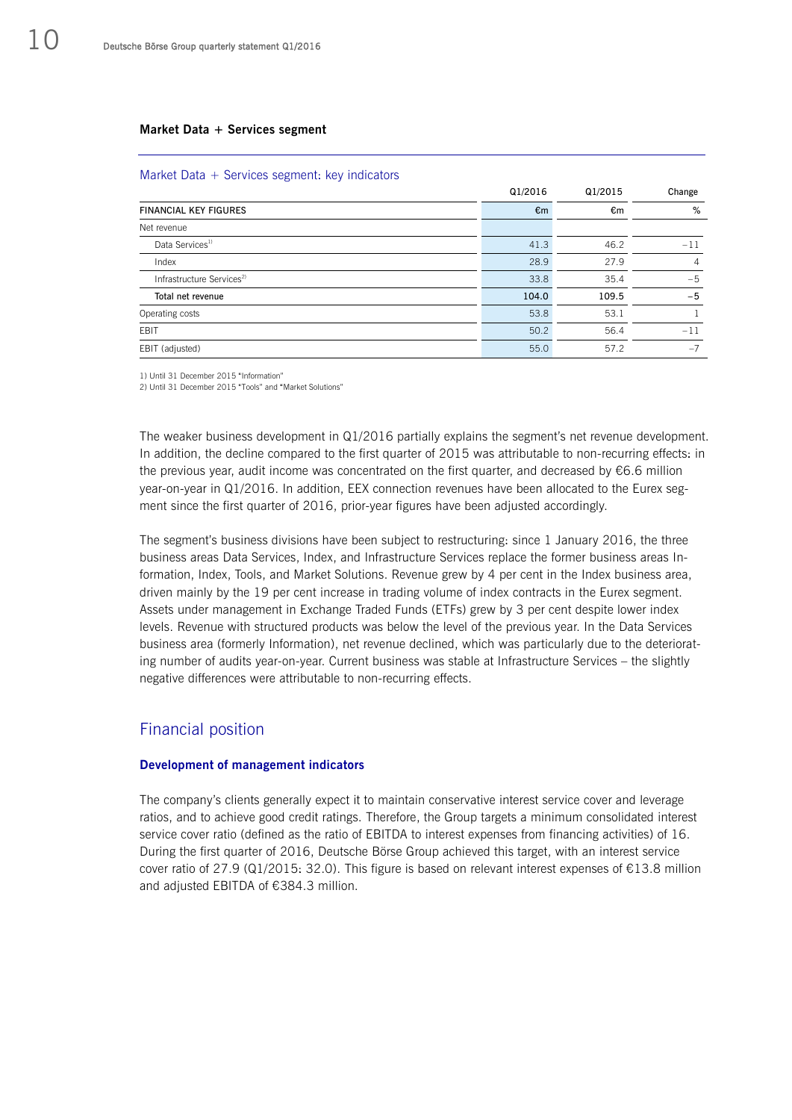#### **Market Data + Services segment**

|                                       | Q1/2016 | Q1/2015 | Change |
|---------------------------------------|---------|---------|--------|
| <b>FINANCIAL KEY FIGURES</b>          | €m      | €m      | %      |
| Net revenue                           |         |         |        |
| Data Services <sup>1)</sup>           | 41.3    | 46.2    | $-11$  |
| Index                                 | 28.9    | 27.9    | 4      |
| Infrastructure Services <sup>2)</sup> | 33.8    | 35.4    | $-5$   |
| Total net revenue                     | 104.0   | 109.5   | $-5$   |
| Operating costs                       | 53.8    | 53.1    |        |
| EBIT                                  | 50.2    | 56.4    | $-11$  |
| EBIT (adjusted)                       | 55.0    | 57.2    | $-7$   |

1) Until 31 December 2015 "Information"

2) Until 31 December 2015 "Tools" and "Market Solutions"

The weaker business development in Q1/2016 partially explains the segment's net revenue development. In addition, the decline compared to the first quarter of 2015 was attributable to non-recurring effects: in the previous year, audit income was concentrated on the first quarter, and decreased by €6.6 million year-on-year in Q1/2016. In addition, EEX connection revenues have been allocated to the Eurex segment since the first quarter of 2016, prior-year figures have been adjusted accordingly.

The segment's business divisions have been subject to restructuring: since 1 January 2016, the three business areas Data Services, Index, and Infrastructure Services replace the former business areas Information, Index, Tools, and Market Solutions. Revenue grew by 4 per cent in the Index business area, driven mainly by the 19 per cent increase in trading volume of index contracts in the Eurex segment. Assets under management in Exchange Traded Funds (ETFs) grew by 3 per cent despite lower index levels. Revenue with structured products was below the level of the previous year. In the Data Services business area (formerly Information), net revenue declined, which was particularly due to the deteriorating number of audits year-on-year. Current business was stable at Infrastructure Services – the slightly negative differences were attributable to non-recurring effects.

### Financial position

#### **Development of management indicators**

The company's clients generally expect it to maintain conservative interest service cover and leverage ratios, and to achieve good credit ratings. Therefore, the Group targets a minimum consolidated interest service cover ratio (defined as the ratio of EBITDA to interest expenses from financing activities) of 16. During the first quarter of 2016, Deutsche Börse Group achieved this target, with an interest service cover ratio of 27.9 (Q1/2015: 32.0). This figure is based on relevant interest expenses of  $\epsilon$ 13.8 million and adjusted EBITDA of €384.3 million.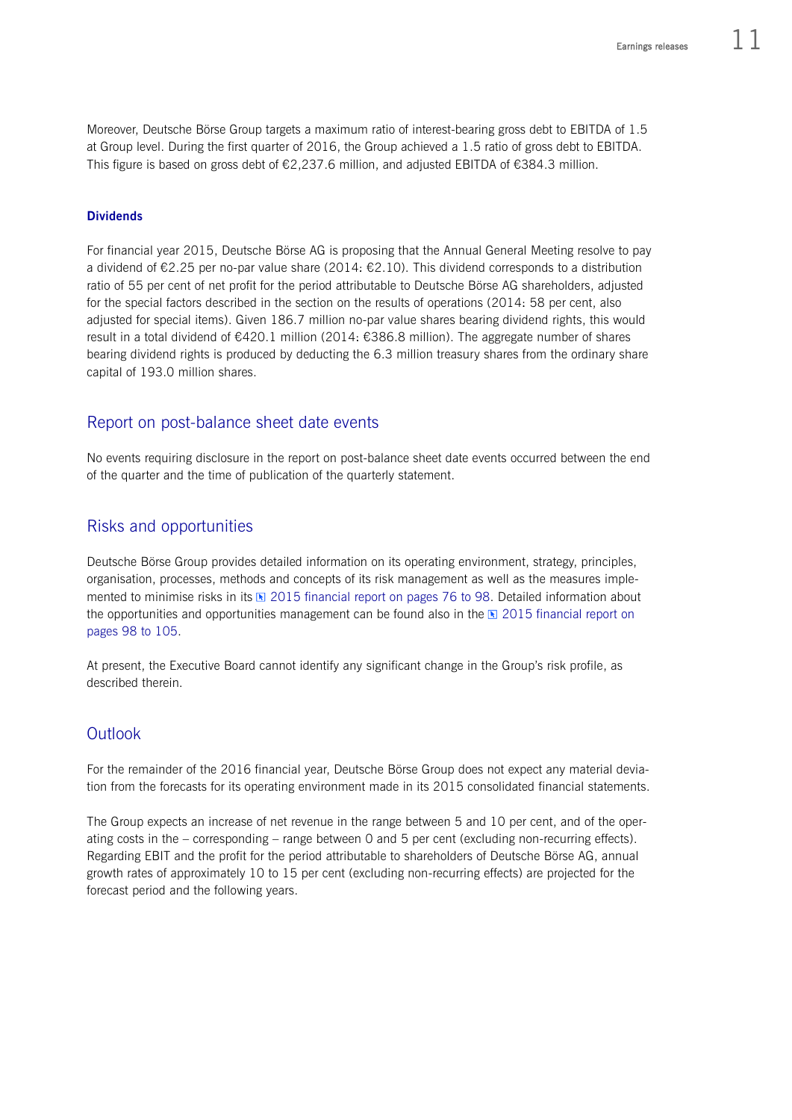Moreover, Deutsche Börse Group targets a maximum ratio of interest-bearing gross debt to EBITDA of 1.5 at Group level. During the first quarter of 2016, the Group achieved a 1.5 ratio of gross debt to EBITDA. This figure is based on gross debt of €2,237.6 million, and adjusted EBITDA of €384.3 million.

#### **Dividends**

For financial year 2015, Deutsche Börse AG is proposing that the Annual General Meeting resolve to pay a dividend of  $\epsilon$ 2.25 per no-par value share (2014:  $\epsilon$ 2.10). This dividend corresponds to a distribution ratio of 55 per cent of net profit for the period attributable to Deutsche Börse AG shareholders, adjusted for the special factors described in the section on the results of operations (2014: 58 per cent, also adjusted for special items). Given 186.7 million no-par value shares bearing dividend rights, this would result in a total dividend of €420.1 million (2014: €386.8 million). The aggregate number of shares bearing dividend rights is produced by deducting the 6.3 million treasury shares from the ordinary share capital of 193.0 million shares.

### Report on post-balance sheet date events

No events requiring disclosure in the report on post-balance sheet date events occurred between the end of the quarter and the time of publication of the quarterly statement.

### Risks and opportunities

Deutsche Börse Group provides detailed information on its operating environment, strategy, principles, organisation, processes, methods and concepts of its risk management as well as the measures implemented to minimise risks in its  $\mathbb{R}$  2015 financial report on pages 76 to 98. Detailed information about the opportunities and opportunities management can be found also in the  $\boxtimes$  2015 financial report on pages 98 to 105.

At present, the Executive Board cannot identify any significant change in the Group's risk profile, as described therein.

## **Outlook**

For the remainder of the 2016 financial year, Deutsche Börse Group does not expect any material deviation from the forecasts for its operating environment made in its 2015 consolidated financial statements.

The Group expects an increase of net revenue in the range between 5 and 10 per cent, and of the operating costs in the – corresponding – range between 0 and 5 per cent (excluding non-recurring effects). Regarding EBIT and the profit for the period attributable to shareholders of Deutsche Börse AG, annual growth rates of approximately 10 to 15 per cent (excluding non-recurring effects) are projected for the forecast period and the following years.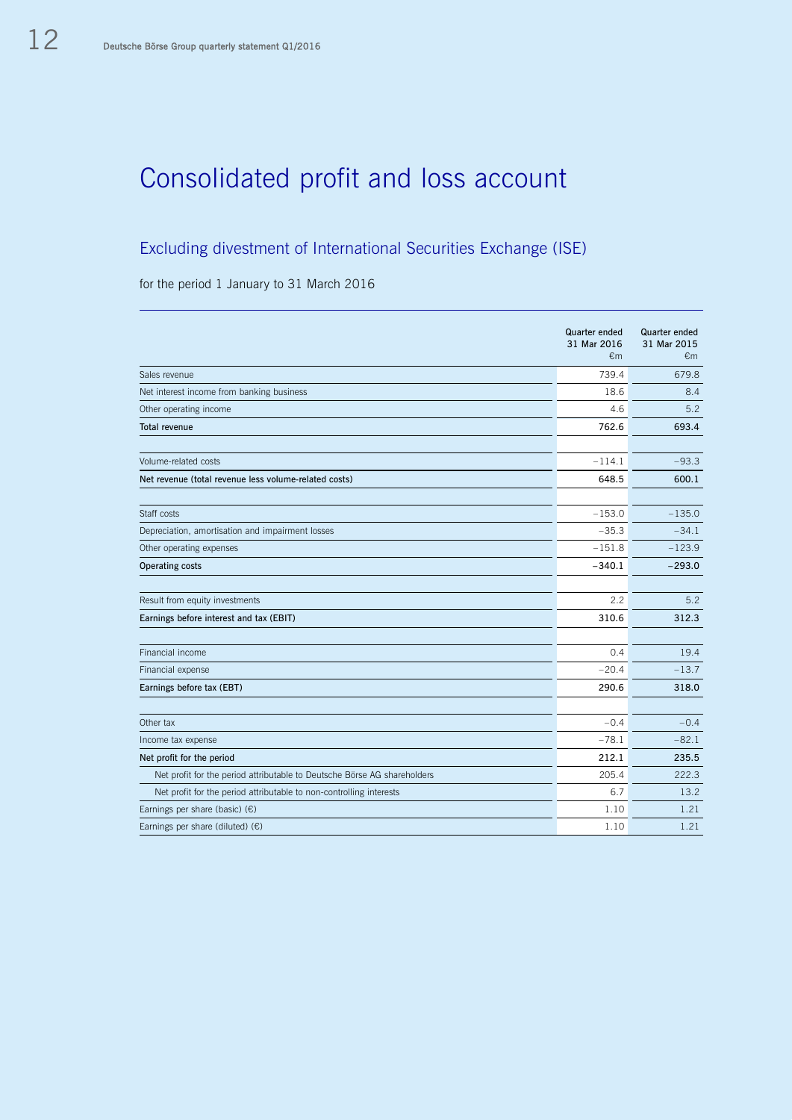# Consolidated profit and loss account

# Excluding divestment of International Securities Exchange (ISE)

for the period 1 January to 31 March 2016

|                                                                          | <b>Quarter ended</b><br>31 Mar 2016<br>€m | Quarter ended<br>31 Mar 2015<br>$\epsilon$ m |
|--------------------------------------------------------------------------|-------------------------------------------|----------------------------------------------|
| Sales revenue                                                            | 739.4                                     | 679.8                                        |
| Net interest income from banking business                                | 18.6                                      | 8.4                                          |
| Other operating income                                                   | 4.6                                       | 5.2                                          |
| <b>Total revenue</b>                                                     | 762.6                                     | 693.4                                        |
|                                                                          |                                           |                                              |
| Volume-related costs                                                     | $-114.1$                                  | $-93.3$                                      |
| Net revenue (total revenue less volume-related costs)                    | 648.5                                     | 600.1                                        |
| Staff costs                                                              | $-153.0$                                  | $-135.0$                                     |
| Depreciation, amortisation and impairment losses                         | $-35.3$                                   | $-34.1$                                      |
| Other operating expenses                                                 | $-151.8$                                  | $-123.9$                                     |
| Operating costs                                                          | $-340.1$                                  | $-293.0$                                     |
|                                                                          |                                           |                                              |
| Result from equity investments                                           | 2.2                                       | 5.2                                          |
| Earnings before interest and tax (EBIT)                                  | 310.6                                     | 312.3                                        |
| Financial income                                                         | 0.4                                       | 19.4                                         |
| Financial expense                                                        | $-20.4$                                   | $-13.7$                                      |
| Earnings before tax (EBT)                                                | 290.6                                     | 318.0                                        |
|                                                                          |                                           |                                              |
| Other tax                                                                | $-0.4$                                    | $-0.4$                                       |
| Income tax expense                                                       | $-78.1$                                   | $-82.1$                                      |
| Net profit for the period                                                | 212.1                                     | 235.5                                        |
| Net profit for the period attributable to Deutsche Börse AG shareholders | 205.4                                     | 222.3                                        |
| Net profit for the period attributable to non-controlling interests      | 6.7                                       | 13.2                                         |
| Earnings per share (basic) $(E)$                                         | 1.10                                      | 1.21                                         |
| Earnings per share (diluted) $(E)$                                       | 1.10                                      | 1.21                                         |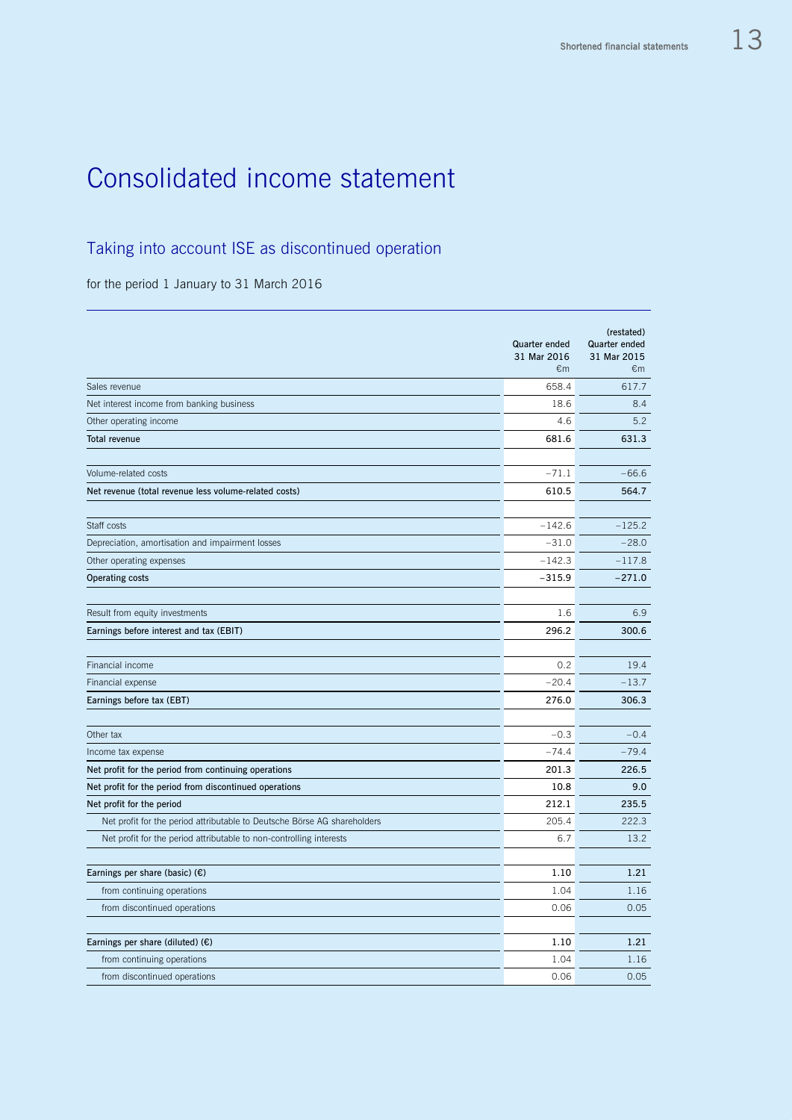# Consolidated income statement

# Taking into account ISE as discontinued operation

for the period 1 January to 31 March 2016

|                                                                          | Quarter ended<br>31 Mar 2016<br>€m | (restated)<br><b>Quarter ended</b><br>31 Mar 2015<br>€m |
|--------------------------------------------------------------------------|------------------------------------|---------------------------------------------------------|
| Sales revenue                                                            | 658.4                              | 617.7                                                   |
| Net interest income from banking business                                | 18.6                               | 8.4                                                     |
| Other operating income                                                   | 4.6                                | 5.2                                                     |
| <b>Total revenue</b>                                                     | 681.6                              | 631.3                                                   |
| Volume-related costs                                                     | $-71.1$                            | $-66.6$                                                 |
| Net revenue (total revenue less volume-related costs)                    | 610.5                              | 564.7                                                   |
| Staff costs                                                              | $-142.6$                           | $-125.2$                                                |
| Depreciation, amortisation and impairment losses                         | $-31.0$                            | $-28.0$                                                 |
| Other operating expenses                                                 | $-142.3$                           | $-117.8$                                                |
| <b>Operating costs</b>                                                   | $-315.9$                           | $-271.0$                                                |
| Result from equity investments                                           | 1.6                                | 6.9                                                     |
| Earnings before interest and tax (EBIT)                                  | 296.2                              | 300.6                                                   |
| Financial income                                                         | 0.2                                | 19.4                                                    |
| Financial expense                                                        | $-20.4$                            | $-13.7$                                                 |
| Earnings before tax (EBT)                                                | 276.0                              | 306.3                                                   |
|                                                                          |                                    |                                                         |
| Other tax                                                                | $-0.3$                             | $-0.4$                                                  |
| Income tax expense                                                       | $-74.4$                            | $-79.4$                                                 |
| Net profit for the period from continuing operations                     | 201.3                              | 226.5                                                   |
| Net profit for the period from discontinued operations                   | 10.8                               | 9.0                                                     |
| Net profit for the period                                                | 212.1                              | 235.5                                                   |
| Net profit for the period attributable to Deutsche Börse AG shareholders | 205.4                              | 222.3                                                   |
| Net profit for the period attributable to non-controlling interests      | 6.7                                | 13.2                                                    |
| Earnings per share (basic) $(E)$                                         | 1.10                               | 1.21                                                    |
| from continuing operations                                               | 1.04                               | 1.16                                                    |
| from discontinued operations                                             | 0.06                               | 0.05                                                    |
| Earnings per share (diluted) $(E)$                                       | 1.10                               | 1.21                                                    |
| from continuing operations                                               | 1.04                               | 1.16                                                    |
| from discontinued operations                                             | 0.06                               | 0.05                                                    |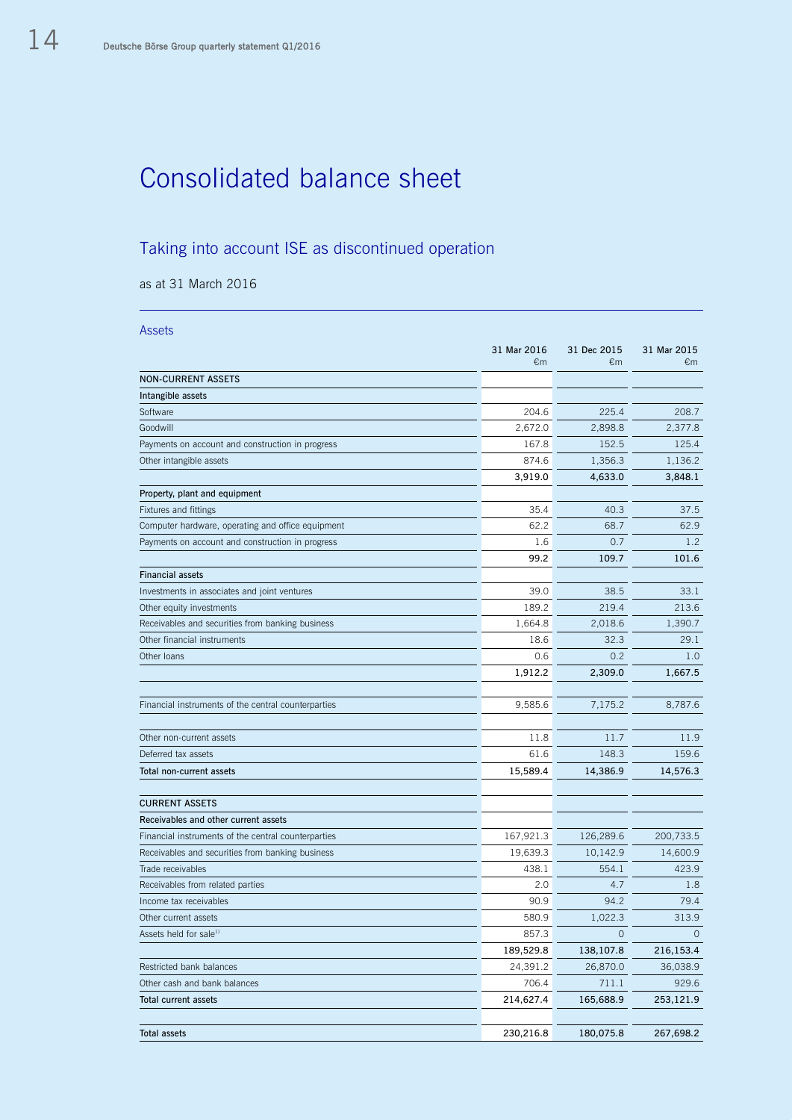# Consolidated balance sheet

# Taking into account ISE as discontinued operation

as at 31 March 2016

| <b>Assets</b>                                       |                      |                   |                             |
|-----------------------------------------------------|----------------------|-------------------|-----------------------------|
|                                                     | 31 Mar 2016<br>€ $m$ | 31 Dec 2015<br>€m | 31 Mar 2015<br>$\epsilon$ m |
| <b>NON-CURRENT ASSETS</b>                           |                      |                   |                             |
| Intangible assets                                   |                      |                   |                             |
| Software                                            | 204.6                | 225.4             | 208.7                       |
| Goodwill                                            | 2,672.0              | 2,898.8           | 2,377.8                     |
| Payments on account and construction in progress    | 167.8                | 152.5             | 125.4                       |
| Other intangible assets                             | 874.6                | 1,356.3           | 1,136.2                     |
|                                                     | 3,919.0              | 4,633.0           | 3,848.1                     |
| Property, plant and equipment                       |                      |                   |                             |
| Fixtures and fittings                               | 35.4                 | 40.3              | 37.5                        |
| Computer hardware, operating and office equipment   | 62.2                 | 68.7              | 62.9                        |
| Payments on account and construction in progress    | 1.6                  | 0.7               | 1.2                         |
|                                                     | 99.2                 | 109.7             | 101.6                       |
| <b>Financial assets</b>                             |                      |                   |                             |
| Investments in associates and joint ventures        | 39.0                 | 38.5              | 33.1                        |
| Other equity investments                            | 189.2                | 219.4             | 213.6                       |
| Receivables and securities from banking business    | 1,664.8              | 2,018.6           | 1,390.7                     |
| Other financial instruments                         | 18.6                 | 32.3              | 29.1                        |
| Other loans                                         | 0.6                  | 0.2               | 1.0                         |
|                                                     | 1,912.2              | 2,309.0           | 1,667.5                     |
|                                                     |                      |                   |                             |
| Financial instruments of the central counterparties | 9,585.6              | 7,175.2           | 8,787.6                     |
|                                                     |                      |                   |                             |
| Other non-current assets                            | 11.8                 | 11.7              | 11.9                        |
| Deferred tax assets                                 | 61.6                 | 148.3             | 159.6                       |
| Total non-current assets                            | 15,589.4             | 14,386.9          | 14,576.3                    |
|                                                     |                      |                   |                             |
| <b>CURRENT ASSETS</b>                               |                      |                   |                             |
| Receivables and other current assets                |                      |                   |                             |
| Financial instruments of the central counterparties | 167,921.3            | 126,289.6         | 200,733.5                   |
| Receivables and securities from banking business    | 19,639.3             | 10,142.9          | 14,600.9                    |
| Trade receivables                                   | 438.1                | 554.1             | 423.9                       |
| Receivables from related parties                    | 2.0                  | 4.7               | 1.8                         |
| Income tax receivables                              | 90.9                 | 94.2              | 79.4                        |
| Other current assets                                | 580.9                | 1,022.3           | 313.9                       |
| Assets held for sale <sup>1)</sup>                  | 857.3                | $\circ$           | $\circ$                     |
|                                                     | 189,529.8            | 138,107.8         | 216,153.4                   |
| Restricted bank balances                            | 24,391.2             | 26,870.0          | 36,038.9                    |
| Other cash and bank balances                        | 706.4                | 711.1             | 929.6                       |
| Total current assets                                | 214,627.4            | 165,688.9         | 253,121.9                   |
|                                                     |                      |                   |                             |
| Total assets                                        | 230,216.8            | 180,075.8         | 267,698.2                   |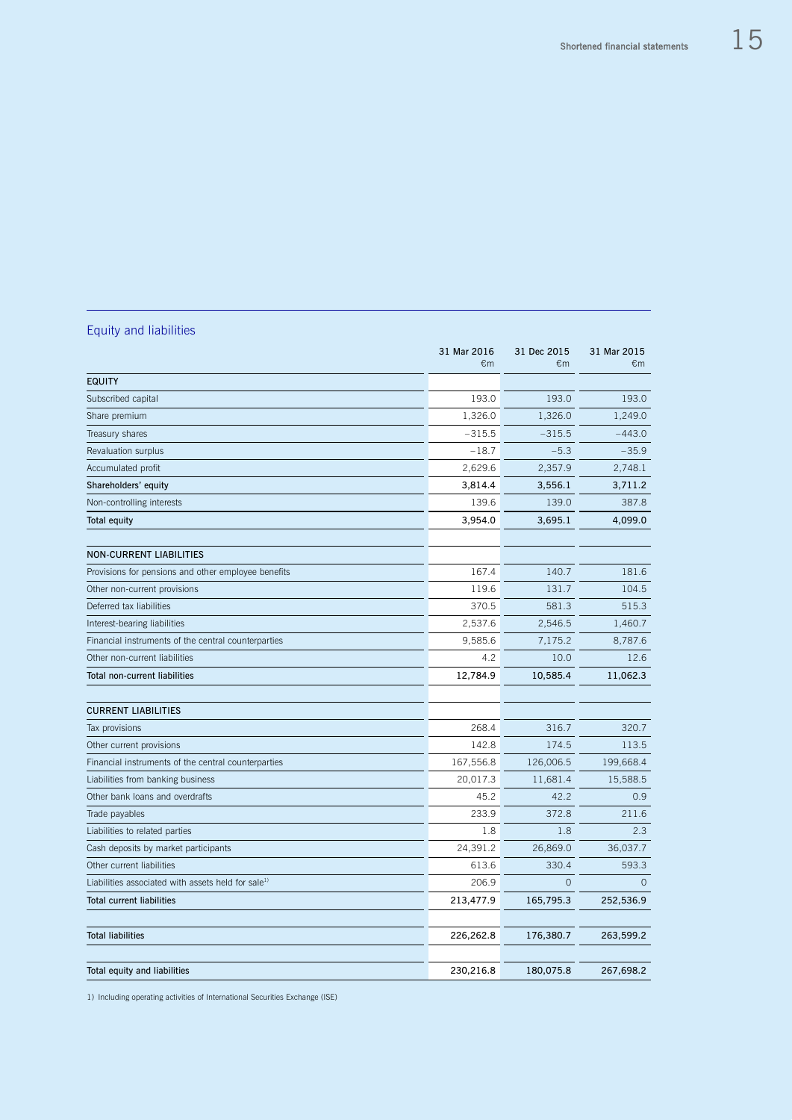# Equity and liabilities

|                                                                | 31 Mar 2016<br>€m | 31 Dec 2015<br>€m | 31 Mar 2015<br>$\epsilon$ m |
|----------------------------------------------------------------|-------------------|-------------------|-----------------------------|
| <b>EQUITY</b>                                                  |                   |                   |                             |
| Subscribed capital                                             | 193.0             | 193.0             | 193.0                       |
| Share premium                                                  | 1,326.0           | 1,326.0           | 1,249.0                     |
| Treasury shares                                                | $-315.5$          | $-315.5$          | $-443.0$                    |
| Revaluation surplus                                            | $-18.7$           | $-5.3$            | $-35.9$                     |
| Accumulated profit                                             | 2,629.6           | 2,357.9           | 2,748.1                     |
| Shareholders' equity                                           | 3,814.4           | 3,556.1           | 3,711.2                     |
| Non-controlling interests                                      | 139.6             | 139.0             | 387.8                       |
| <b>Total equity</b>                                            | 3,954.0           | 3,695.1           | 4,099.0                     |
| <b>NON-CURRENT LIABILITIES</b>                                 |                   |                   |                             |
| Provisions for pensions and other employee benefits            | 167.4             | 140.7             | 181.6                       |
| Other non-current provisions                                   | 119.6             | 131.7             | 104.5                       |
| Deferred tax liabilities                                       | 370.5             | 581.3             | 515.3                       |
| Interest-bearing liabilities                                   | 2,537.6           | 2,546.5           | 1,460.7                     |
| Financial instruments of the central counterparties            | 9,585.6           | 7,175.2           | 8,787.6                     |
| Other non-current liabilities                                  | 4.2               | 10.0              | 12.6                        |
| <b>Total non-current liabilities</b>                           | 12,784.9          | 10,585.4          | 11,062.3                    |
| <b>CURRENT LIABILITIES</b>                                     |                   |                   |                             |
| Tax provisions                                                 | 268.4             | 316.7             | 320.7                       |
| Other current provisions                                       | 142.8             | 174.5             | 113.5                       |
| Financial instruments of the central counterparties            | 167,556.8         | 126,006.5         | 199,668.4                   |
| Liabilities from banking business                              | 20,017.3          | 11,681.4          | 15,588.5                    |
| Other bank loans and overdrafts                                | 45.2              | 42.2              | 0.9                         |
| Trade payables                                                 | 233.9             | 372.8             | 211.6                       |
| Liabilities to related parties                                 | 1.8               | 1.8               | 2.3                         |
| Cash deposits by market participants                           | 24,391.2          | 26,869.0          | 36,037.7                    |
| Other current liabilities                                      | 613.6             | 330.4             | 593.3                       |
| Liabilities associated with assets held for sale <sup>1)</sup> | 206.9             | $\circ$           | $\circ$                     |
| <b>Total current liabilities</b>                               | 213,477.9         | 165,795.3         | 252,536.9                   |
|                                                                |                   |                   |                             |
| <b>Total liabilities</b>                                       | 226,262.8         | 176,380.7         | 263,599.2                   |
| Total equity and liabilities                                   | 230,216.8         | 180,075.8         | 267,698.2                   |
|                                                                |                   |                   |                             |

1) Including operating activities of International Securities Exchange (ISE)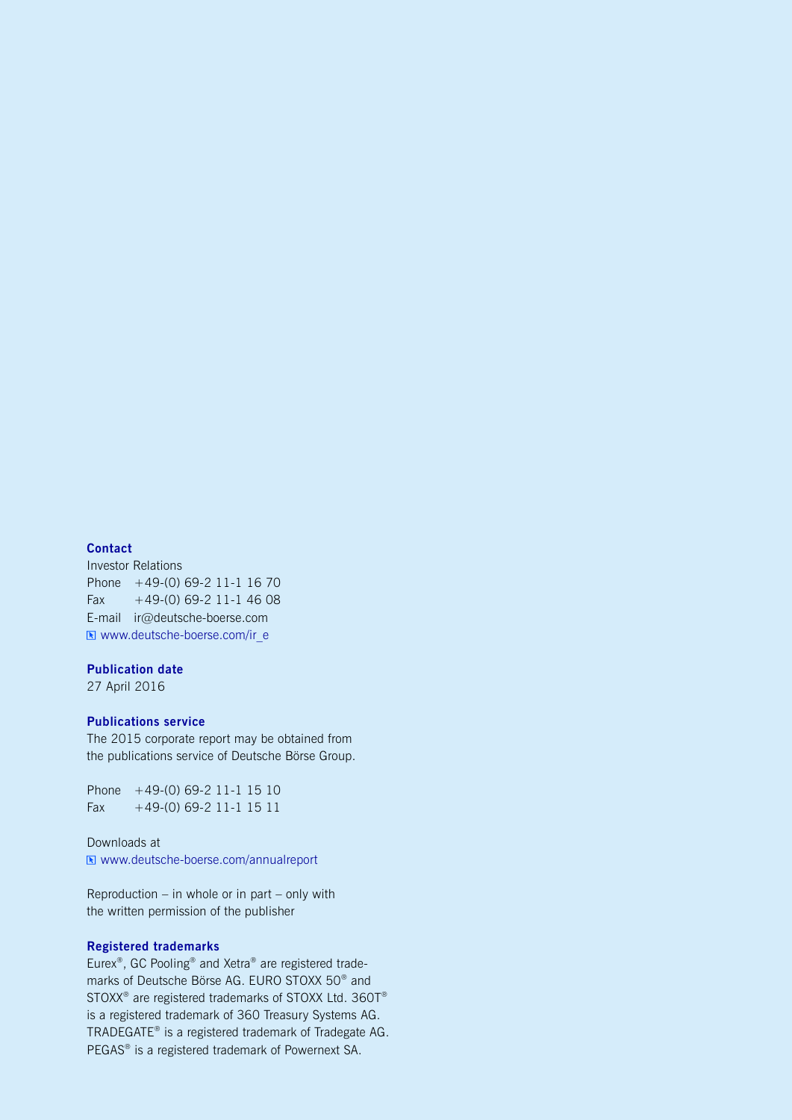#### **Contact**

Investor Relations Phone +49-(0) 69-2 11-1 16 70 Fax  $+49-(0)$  69-2 11-1 46 08 E-mail ir@deutsche-boerse.com Www.deutsche-boerse.com/ir\_e

#### **Publication date**

27 April 2016

### **Publications service**

The 2015 corporate report may be obtained from the publications service of Deutsche Börse Group.

Phone +49-(0) 69-2 11-1 15 10 Fax  $+49-(0)$  69-2 11-1 15 11

Downloads at [www.deutsche-boerse.com/annualreport](http://www.deutsche-boerse.com/annualreport)

Reproduction – in whole or in part – only with the written permission of the publisher

### **Registered trademarks**

Eurex® , GC Pooling® and Xetra® are registered trademarks of Deutsche Börse AG. EURO STOXX 50® and STOXX<sup>®</sup> are registered trademarks of STOXX Ltd. 360T® is a registered trademark of 360 Treasury Systems AG. TRADEGATE® is a registered trademark of Tradegate AG. PEGAS<sup>®</sup> is a registered trademark of Powernext SA.